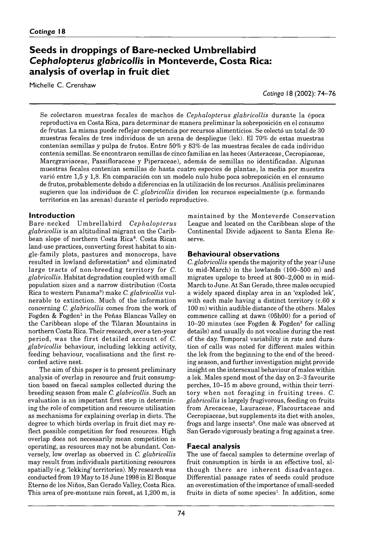# **Seeds in droppings of Bare-necked Umbrellabird Cephalopterus glabricollis in Monteverde, Costa Rica:** analysis of overlap in fruit diet

Michelle C. Crenshaw

*Cotinga* 18 (2002): 74–76

Se colectaron m uestras fecales de machos de *Cephalopterus glabricollis* durante la época reproductiva en Costa Rica, para determinar de manera preliminar la sobreposición en el consumo de frutas. La misma puede reflejar competencia por recursos alimenticios. Se colectó un total de 30 muestras fecales de tres individuos de un arena de despliegue (lek). El 70% de estas muestras contenían semillas y pulpa de frutos. Entre  $50\%$  y  $83\%$  de las muestras fecales de cada individuo contenía semillas. Se encontraron semillas de cinco familias en las heces (Asteraceae, Cecropiaceae, Marcgraviaceae, Passifloraceae y Piperaceae), además de semillas no identificadas. Algunas muestras fecales contenían semillas de hasta cuatro especies de plantas, la media por muestra varió entre 1,5 y 1,8. En comparación con un modelo nulo hubo poca sobreposición en el consumo de frutos, probablemente debido a diferencias en la utilización de los recursos. Análisis preliminares sugieren que los individuos de *C. glabricollis* dividen los recursos especialmente (p.e. formando territorios en las arenas) durante el período reproductivo.

### **Introduction**

B are-necked U m b rellab ird *C ephalopterus glabricollis* is an altitudinal migrant on the Caribbean slope of northern Costa Rica8. Costa Rican land-use practices, converting forest habitat to single-family plots, pastures and monocrops, have resulted in lowland deforestation<sup>6</sup> and eliminated large tracts of non-breeding territory for *C*. *glabricollis.* Habitat degradation coupled with small population sizes and a narrow distribution (Costa Rica to western Panama<sup>9</sup>) make *C. glabricollis* vulnerable to extinction. Much of the information concerning *C. glabricollis* comes from the work of Fogden & Fogden<sup>2</sup> in the Peñas Blancas Valley on the Caribbean slope of the Tilaran Mountains in northern Costa Rica. Their research, over a ten-year period, was the first detailed account of C. *glabricollis* behaviour, including lekking activity, feeding behaviour, vocalisations and the first recorded active nest.

The aim of this paper is to present preliminary analysis of overlap in resource and fruit consumption based on faecal samples collected during the breeding season from male *C. glabricollis.* Such an evaluation is an im portant first step in determining the role of competition and resource utilisation as mechanisms for explaining overlap in diets. The degree to which birds overlap in fruit diet may reflect possible competition for food resources. High overlap does not necessarily mean competition is operating, as resources may not be abundant. Conversely, low overlap as observed in C. *glabricollis* may result from individuals partitioning resources spatially (e.g. 'lekking' territories). My research was conducted from 19 May to 18 June 1998 in El Bosque Eterno de los Niños, San Gerado Valley, Costa Rica. This area of pre-montane rain forest, at  $1,200$  m, is

maintained by the Monteverde Conservation League and located on the Caribbean slope of the Continental Divide adjacent to Santa Elena Reserve.

### **Behavioural observations**

*C. glabricollis* spends the majority of the year (June to mid-March) in the lowlands ( 100–500 m) and migrates upslope to breed at  $800-2,000$  m in mid-March to June. At San Gerado, three males occupied a widely spaced display area in an 'exploded lek', with each male having a distinct territory (c.60 x 100 m) within audible distance of the others. Males commence calling at dawn (05h00) for a period of  $10-20$  minutes (see Fogden & Fogden<sup>2</sup> for calling details) and usually do not vocalise during the rest of the day. Temporal variability in rate and duration of calls was noted for different males within the lek from the beginning to the end of the breeding season, and further investigation might provide insight on the intersexual behaviour of males within a lek. Males spend most of the day on 2–3 favourite perches, 10–15 m above ground, within their territory when not foraging in fruiting trees. C. *glabricollis* is largely frugivorous, feeding on fruits from Arecaceae, Lauraceae, Flacourtaceae and Cecropiaceae, but supplements its diet with anoles, frogs and large insects<sup>9</sup>. One male was observed at San Gerado vigorously beating a frog against a tree.

#### **Faecal analysis**

The use of faecal samples to determine overlap of fruit consumption in birds is an effective tool, although there are inherent disadvantages. Differential passage rates of seeds could produce an overestimation of the importance of small-seeded fruits in diets of some species<sup>1</sup>. In addition, some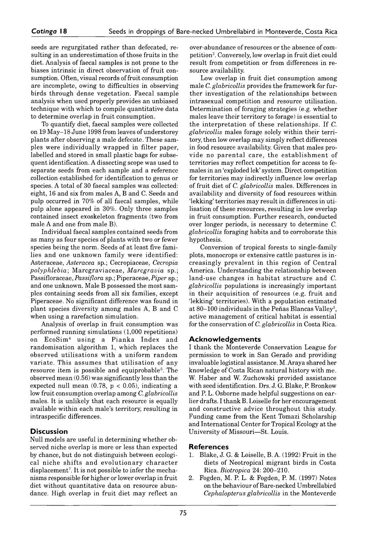seeds are regurgitated rather than defecated, resulting in an underestimation of those fruits in the diet. Analysis of faecal samples is not prone to the biases intrinsic in direct observation of fruit consumption. Often, visual records of fruit consumption are incomplete, owing to difficulties in observing birds through dense vegetation. Faecal sample analysis when used properly provides an unbiased technique with which to compile quantitative data to determine overlap in fruit consumption.

To quantify diet, faecal samples were collected on 19 May–18 June 1998 from leaves of understorey plants after observing a male defecate. These samples were individually wrapped in filter paper, labelled and stored in small plastic bags for subsequent identification. A dissecting scope was used to separate seeds from each sample and a reference collection established for identification to genus or species. A total of 30 faecal samples was collected: eight, 16 and six from males A, B and C. Seeds and pulp occurred in 70% of all faecal samples, while pulp alone appeared in 30%. Only three samples contained insect exoskeleton fragments (two from male A and one from male B).

Individual faecal samples contained seeds from as many as four species of plants with two or fewer species being the norm. Seeds of at least five families and one unknown family were identified: Asteraceae, *Asteracea* sp.; Cecropiaceae, *Cecropia polyphlebia*; M arcgraviaceae, *M arcgravia* sp.; Passifloraceae, *Passiflora* sp.; Piperaceae, *Piper* sp.; and one unknown. Male B possessed the most samples containing seeds from all six families, except Piperaceae. No significant difference was found in plant species diversity among males A, B and C when using a rarefaction simulation.

Analysis of overlap in fruit consumption was performed running simulations  $(1,000$  repetitions) on EcoSim<sup>4</sup> using a Pianka Index and randomisation algorithm 1, which replaces the observed utilisations with a uniform random variate. This assumes that utilisation of any resource item is possible and equiprobable5. The observed mean (0.56) was significantly less than the expected null mean  $(0.78, p < 0.05)$ , indicating a low fruit consumption overlap among *C. glabricollis* males. It is unlikely that each resource is equally available within each male's territory, resulting in intraspecific differences.

### **Discussion**

Null models are useful in determining whether observed niche overlap is more or less than expected by chance, but do not distinguish between ecological niche shifts and evolutionary character displacement<sup>7</sup>. It is not possible to infer the mechanisms responsible for higher or lower overlap in fruit diet without quantitative data on resource abundance. High overlap in fruit diet may reflect an over-abundance of resources or the absence of competition3. Conversely, low overlap in fruit diet could result from competition or from differences in resource availability.

Low overlap in fruit diet consumption among male *C. glabricollis* provides the framework for further investigation of the relationships between intrasexual competition and resource utilisation. Determination of foraging strategies (e.g. whether males leave their territory to forage) is essential to the interpretation of these relationships. If *C. glabricollis* males forage solely within their territory, then low overlap may simply reflect differences in food resource availability. Given that males provide no parental care, the establishment of territories may reflect competition for access to females in an 'exploded lek' system. Direct competition for territories may indirectly influence low overlap of fruit diet of *C. glabricollis* males. Differences in availability and diversity of food resources within lekking' territories may result in differences in utilisation of these resources, resulting in low overlap in fruit consumption. Further research, conducted over longer periods, is necessary to determine *C. glabricollis* foraging habits and to corroborate this hypothesis.

Conversion of tropical forests to single-family plots, monocrops or extensive cattle pastures is increasingly prevalent in this region of Central America. Understanding the relationship between land-use changes in habitat structure and *C*. *glabricollis* populations is increasingly important in their acquisition of resources (e.g. fruit and lekking' territories). With a population estimated at 80–100 individuals in the Peñas Blancas Valley<sup>2</sup>, active management of critical habitat is essential for the conservation of *C. glabricollis* in Costa Rica.

### **A c k n o w l e d g e m e n t s**

I thank the Monteverde Conservation League for permission to work in San Gerado and providing invaluable logistical assistance. M. Araya shared her knowledge of Costa Rican natural history with me. W. Haber and W. Zuchowski provided assistance with seed identification. Drs. J. G. Blake, P. Bronkow and P. L. Osborne made helpful suggestions on earlier drafts. I thank B. Loiselle for her encouragement and constructive advice throughout this study. Funding came from the Kent Tomazi Scholarship and International Center for Tropical Ecology at the University of Missouri–St. Louis.

### **References**

- 1. Blake, J. G. & Loiselle, B. A. (1992) Fruit in the diets of Neotropical migrant birds in Costa Rica. *Biotropica* 24: 200–210.
- 2. Fogden, M. P. L. & Fogden, P. M. (1997) Notes on the behaviour of Bare-necked Umbrellabird *Cephalopterus glabricollis* in the Monteverde